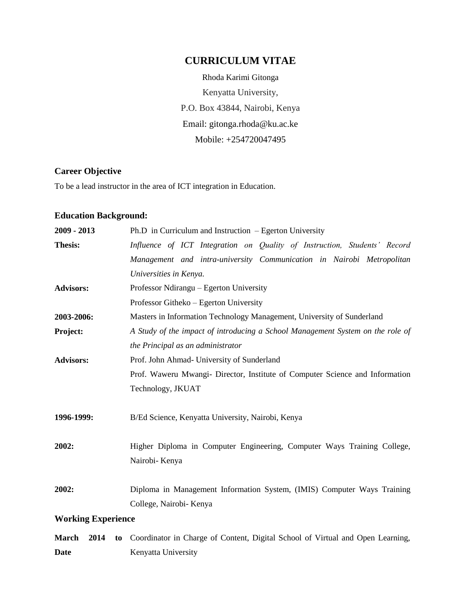# **CURRICULUM VITAE**

Rhoda Karimi Gitonga Kenyatta University, P.O. Box 43844, Nairobi, Kenya Email: gitonga.rhoda@ku.ac.ke Mobile: +254720047495

# **Career Objective**

To be a lead instructor in the area of ICT integration in Education.

### **Education Background:**

| 2009 - 2013               |    | Ph.D in Curriculum and Instruction $-$ Egerton University                                          |
|---------------------------|----|----------------------------------------------------------------------------------------------------|
| <b>Thesis:</b>            |    | Influence of ICT Integration on Quality of Instruction, Students' Record                           |
|                           |    | Management and intra-university Communication in Nairobi Metropolitan                              |
|                           |    | Universities in Kenya.                                                                             |
| <b>Advisors:</b>          |    | Professor Ndirangu – Egerton University                                                            |
|                           |    | Professor Githeko – Egerton University                                                             |
| 2003-2006:                |    | Masters in Information Technology Management, University of Sunderland                             |
| Project:                  |    | A Study of the impact of introducing a School Management System on the role of                     |
|                           |    | the Principal as an administrator                                                                  |
| <b>Advisors:</b>          |    | Prof. John Ahmad- University of Sunderland                                                         |
|                           |    | Prof. Waweru Mwangi- Director, Institute of Computer Science and Information                       |
|                           |    | Technology, JKUAT                                                                                  |
| 1996-1999:                |    | B/Ed Science, Kenyatta University, Nairobi, Kenya                                                  |
| 2002:                     |    | Higher Diploma in Computer Engineering, Computer Ways Training College,<br>Nairobi- Kenya          |
| 2002:                     |    | Diploma in Management Information System, (IMIS) Computer Ways Training<br>College, Nairobi- Kenya |
| <b>Working Experience</b> |    |                                                                                                    |
| <b>March</b><br>2014      | to | Coordinator in Charge of Content, Digital School of Virtual and Open Learning,                     |

**Date** Kenyatta University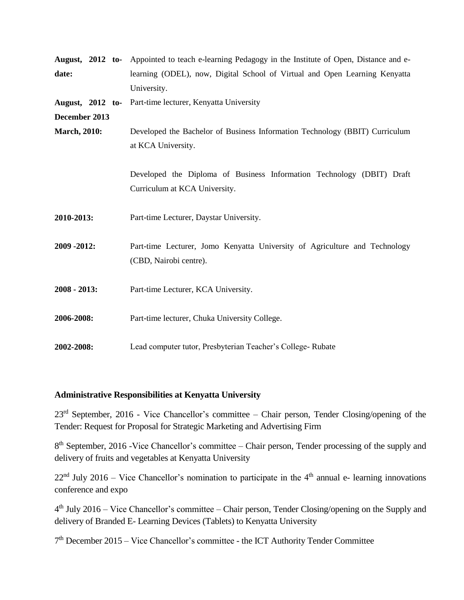|                      |  |  | <b>August, 2012 to-</b> Appointed to teach e-learning Pedagogy in the Institute of Open, Distance and e- |  |  |
|----------------------|--|--|----------------------------------------------------------------------------------------------------------|--|--|
| date:                |  |  | learning (ODEL), now, Digital School of Virtual and Open Learning Kenyatta                               |  |  |
|                      |  |  | University.                                                                                              |  |  |
| August, 2012 to-     |  |  | Part-time lecturer, Kenyatta University                                                                  |  |  |
| December 2013        |  |  |                                                                                                          |  |  |
| <b>March</b> , 2010: |  |  | Developed the Bachelor of Business Information Technology (BBIT) Curriculum                              |  |  |
|                      |  |  | at KCA University.                                                                                       |  |  |
|                      |  |  |                                                                                                          |  |  |
|                      |  |  | Developed the Diploma of Business Information Technology (DBIT) Draft                                    |  |  |
|                      |  |  | Curriculum at KCA University.                                                                            |  |  |
|                      |  |  |                                                                                                          |  |  |
| 2010-2013:           |  |  | Part-time Lecturer, Daystar University.                                                                  |  |  |
|                      |  |  |                                                                                                          |  |  |
| 2009 - 2012:         |  |  | Part-time Lecturer, Jomo Kenyatta University of Agriculture and Technology                               |  |  |
|                      |  |  | (CBD, Nairobi centre).                                                                                   |  |  |
|                      |  |  |                                                                                                          |  |  |
| $2008 - 2013$ :      |  |  | Part-time Lecturer, KCA University.                                                                      |  |  |
|                      |  |  |                                                                                                          |  |  |
| 2006-2008:           |  |  | Part-time lecturer, Chuka University College.                                                            |  |  |
|                      |  |  |                                                                                                          |  |  |
| 2002-2008:           |  |  | Lead computer tutor, Presbyterian Teacher's College-Rubate                                               |  |  |

#### **Administrative Responsibilities at Kenyatta University**

23rd September, 2016 - Vice Chancellor's committee – Chair person, Tender Closing/opening of the Tender: Request for Proposal for Strategic Marketing and Advertising Firm

8<sup>th</sup> September, 2016 -Vice Chancellor's committee – Chair person, Tender processing of the supply and delivery of fruits and vegetables at Kenyatta University

 $22<sup>nd</sup>$  July 2016 – Vice Chancellor's nomination to participate in the 4<sup>th</sup> annual e- learning innovations conference and expo

4<sup>th</sup> July 2016 – Vice Chancellor's committee – Chair person, Tender Closing/opening on the Supply and delivery of Branded E- Learning Devices (Tablets) to Kenyatta University

7<sup>th</sup> December 2015 – Vice Chancellor's committee - the ICT Authority Tender Committee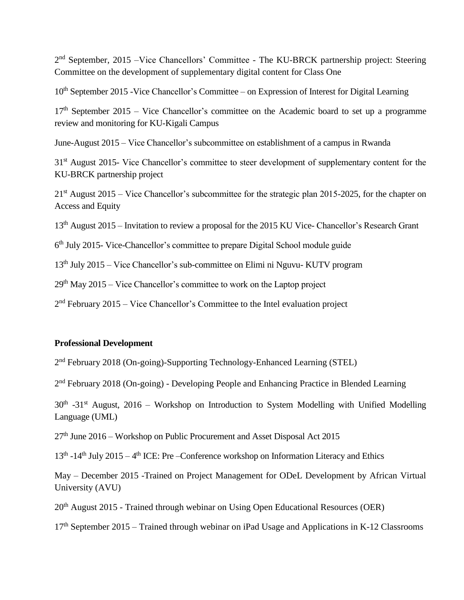2<sup>nd</sup> September, 2015 –Vice Chancellors' Committee - The KU-BRCK partnership project: Steering Committee on the development of supplementary digital content for Class One

 $10<sup>th</sup>$  September 2015 -Vice Chancellor's Committee – on Expression of Interest for Digital Learning

 $17<sup>th</sup>$  September 2015 – Vice Chancellor's committee on the Academic board to set up a programme review and monitoring for KU-Kigali Campus

June-August 2015 – Vice Chancellor's subcommittee on establishment of a campus in Rwanda

31<sup>st</sup> August 2015- Vice Chancellor's committee to steer development of supplementary content for the KU-BRCK partnership project

21st August 2015 – Vice Chancellor's subcommittee for the strategic plan 2015-2025, for the chapter on Access and Equity

13th August 2015 – Invitation to review a proposal for the 2015 KU Vice- Chancellor's Research Grant

6<sup>th</sup> July 2015- Vice-Chancellor's committee to prepare Digital School module guide

 $13<sup>th</sup>$  July 2015 – Vice Chancellor's sub-committee on Elimi ni Nguvu- KUTV program

 $29<sup>th</sup>$  May 2015 – Vice Chancellor's committee to work on the Laptop project

2<sup>nd</sup> February 2015 – Vice Chancellor's Committee to the Intel evaluation project

#### **Professional Development**

2<sup>nd</sup> February 2018 (On-going)-Supporting Technology-Enhanced Learning (STEL)

2<sup>nd</sup> February 2018 (On-going) - Developing People and Enhancing Practice in Blended Learning

 $30<sup>th</sup>$  -31<sup>st</sup> August, 2016 – Workshop on Introduction to System Modelling with Unified Modelling Language (UML)

27th June 2016 – Workshop on Public Procurement and Asset Disposal Act 2015

13<sup>th</sup> -14<sup>th</sup> July 2015 – 4<sup>th</sup> ICE: Pre –Conference workshop on Information Literacy and Ethics

May – December 2015 -Trained on Project Management for ODeL Development by African Virtual University (AVU)

20<sup>th</sup> August 2015 - Trained through webinar on Using Open Educational Resources (OER)

 $17<sup>th</sup>$  September 2015 – Trained through webinar on iPad Usage and Applications in K-12 Classrooms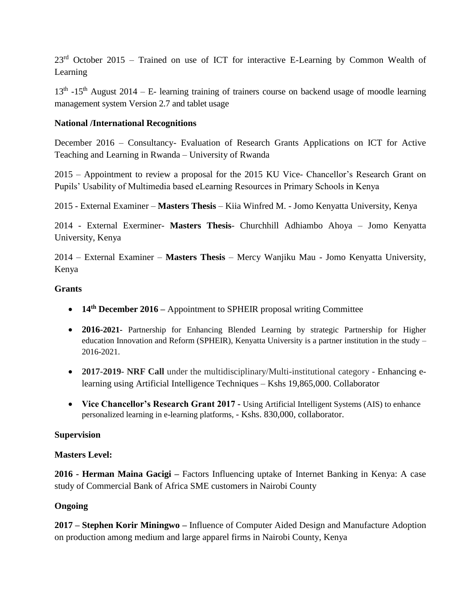$23<sup>rd</sup>$  October 2015 – Trained on use of ICT for interactive E-Learning by Common Wealth of Learning

 $13<sup>th</sup>$  -15<sup>th</sup> August 2014 – E- learning training of trainers course on backend usage of moodle learning management system Version 2.7 and tablet usage

### **National /International Recognitions**

December 2016 – Consultancy- Evaluation of Research Grants Applications on ICT for Active Teaching and Learning in Rwanda – University of Rwanda

2015 – Appointment to review a proposal for the 2015 KU Vice- Chancellor's Research Grant on Pupils' Usability of Multimedia based eLearning Resources in Primary Schools in Kenya

2015 - External Examiner – **Masters Thesis** – Kiia Winfred M. - Jomo Kenyatta University, Kenya

2014 - External Exerminer- **Masters Thesis**- Churchhill Adhiambo Ahoya – Jomo Kenyatta University, Kenya

2014 – External Examiner – **Masters Thesis** – Mercy Wanjiku Mau - Jomo Kenyatta University, Kenya

### **Grants**

- **14th December 2016 –** Appointment to SPHEIR proposal writing Committee
- **2016-2021-** Partnership for Enhancing Blended Learning by strategic Partnership for Higher education Innovation and Reform (SPHEIR), Kenyatta University is a partner institution in the study – 2016-2021.
- **2017-2019- NRF Call** under the multidisciplinary/Multi-institutional category Enhancing elearning using Artificial Intelligence Techniques – Kshs 19,865,000. Collaborator
- **Vice Chancellor's Research Grant 2017 -** Using Artificial Intelligent Systems (AIS) to enhance personalized learning in e-learning platforms, - Kshs. 830,000, collaborator.

# **Supervision**

# **Masters Level:**

**2016 - Herman Maina Gacigi –** Factors Influencing uptake of Internet Banking in Kenya: A case study of Commercial Bank of Africa SME customers in Nairobi County

# **Ongoing**

**2017 – Stephen Korir Miningwo –** Influence of Computer Aided Design and Manufacture Adoption on production among medium and large apparel firms in Nairobi County, Kenya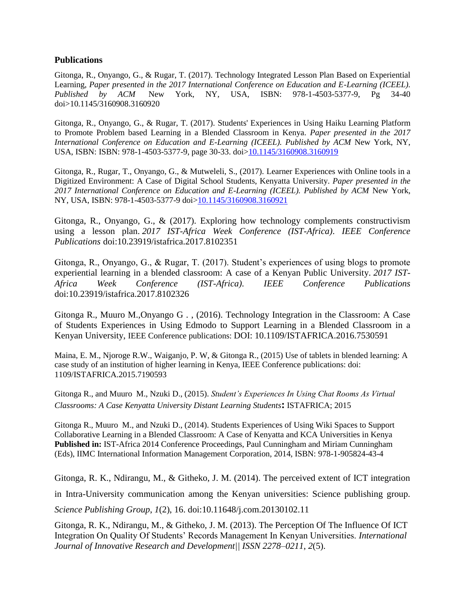#### **Publications**

Gitonga, R., Onyango, G., & Rugar, T. (2017). Technology Integrated Lesson Plan Based on Experiential Learning, *Paper presented in the 2017 International Conference on Education and E-Learning (ICEEL). Published by ACM* New York, NY, USA, ISBN: 978-1-4503-5377-9, Pg 34-40 doi>10.1145/3160908.3160920

Gitonga, R., Onyango, G., & Rugar, T. (2017). Students' Experiences in Using Haiku Learning Platform to Promote Problem based Learning in a Blended Classroom in Kenya. *Paper presented in the 2017 International Conference on Education and E-Learning (ICEEL). Published by ACM New York, NY,* USA, ISBN: ISBN: 978-1-4503-5377-9, page 30-33. doi[>10.1145/3160908.3160919](https://dx.doi.org/10.1145/3160908.3160919)

Gitonga, R., Rugar, T., Onyango, G., & Mutweleli, S., (2017). Learner Experiences with Online tools in a Digitized Environment: A Case of Digital School Students, Kenyatta University. *Paper presented in the*  2017 International Conference on Education and E-Learning (ICEEL). Published by ACM New York, NY, USA, ISBN: 978-1-4503-5377-9 doi[>10.1145/3160908.3160921](https://dx.doi.org/10.1145/3160908.3160921)

Gitonga, R., Onyango, G., & (2017). Exploring how technology complements constructivism using a lesson plan. *2017 IST-Africa Week Conference (IST-Africa)*. *IEEE Conference Publications* doi:10.23919/istafrica.2017.8102351

Gitonga, R., Onyango, G., & Rugar, T. (2017). Student's experiences of using blogs to promote experiential learning in a blended classroom: A case of a Kenyan Public University. *2017 IST-Africa Week Conference (IST-Africa)*. *IEEE Conference Publications* doi:10.23919/istafrica.2017.8102326

Gitonga R., Muuro M.,Onyango G . , (2016). Technology Integration in the Classroom: A Case of Students Experiences in Using Edmodo to Support Learning in a Blended Classroom in a Kenyan University, IEEE Conference publications: DOI: 10.1109/ISTAFRICA.2016.7530591

Maina, E. M., Njoroge R.W., Waiganjo, P. W, & Gitonga R., (2015) Use of tablets in blended learning: A case study of an institution of higher learning in Kenya, IEEE Conference publications: doi: 1109/ISTAFRICA.2015.7190593

Gitonga R., and Muuro M., Nzuki D., (2015). *Student's Experiences In Using Chat Rooms As Virtual Classrooms: A Case Kenyatta University Distant Learning Students***:** ISTAFRICA; 2015

Gitonga R., Muuro M., and Nzuki D., (2014). Students Experiences of Using Wiki Spaces to Support Collaborative Learning in a Blended Classroom: A Case of Kenyatta and KCA Universities in Kenya **Published in:** IST-Africa 2014 Conference Proceedings, Paul Cunningham and Miriam Cunningham (Eds), IIMC International Information Management Corporation, 2014, ISBN: 978-1-905824-43-4

Gitonga, R. K., Ndirangu, M., & Githeko, J. M. (2014). The perceived extent of ICT integration in Intra-University communication among the Kenyan universities: Science publishing group. *Science Publishing Group*, *1*(2), 16. doi:10.11648/j.com.20130102.11

Gitonga, R. K., Ndirangu, M., & Githeko, J. M. (2013). The Perception Of The Influence Of ICT Integration On Quality Of Students' Records Management In Kenyan Universities. *International Journal of Innovative Research and Development|| ISSN 2278–0211*, *2*(5).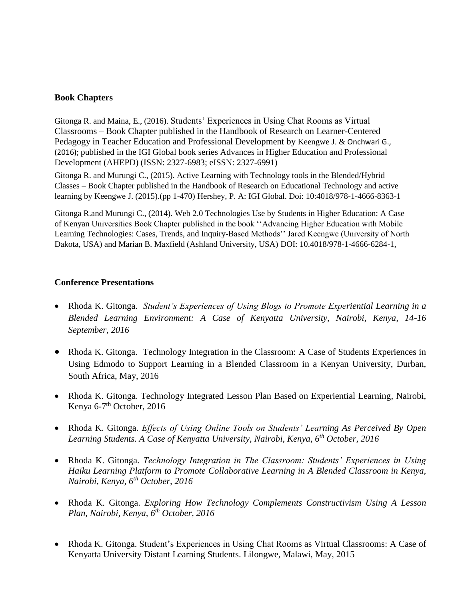#### **Book Chapters**

Gitonga R. and Maina, E., (2016). Students' Experiences in Using Chat Rooms as Virtual Classrooms – Book Chapter published in the Handbook of Research on Learner-Centered Pedagogy in Teacher Education and Professional Development by Keengwe J. & Onchwari G., (2016); published in the IGI Global book series Advances in Higher Education and Professional Development (AHEPD) (ISSN: 2327-6983; eISSN: 2327-6991)

Gitonga R. and Murungi C., (2015). Active Learning with Technology tools in the Blended/Hybrid Classes – Book Chapter published in the Handbook of Research on Educational Technology and active learning by Keengwe J. (2015).(pp 1-470) Hershey, P. A: IGI Global. Doi: 10:4018/978-1-4666-8363-1

Gitonga R.and Murungi C., (2014). Web 2.0 Technologies Use by Students in Higher Education: A Case of Kenyan Universities Book Chapter published in the book ''Advancing Higher Education with Mobile Learning Technologies: Cases, Trends, and Inquiry-Based Methods'' Jared Keengwe (University of North Dakota, USA) and Marian B. Maxfield (Ashland University, USA) DOI: 10.4018/978-1-4666-6284-1,

### **Conference Presentations**

- Rhoda K. Gitonga. *Student's Experiences of Using Blogs to Promote Experiential Learning in a Blended Learning Environment: A Case of Kenyatta University, Nairobi, Kenya, 14-16 September, 2016*
- Rhoda K. Gitonga. Technology Integration in the Classroom: A Case of Students Experiences in Using Edmodo to Support Learning in a Blended Classroom in a Kenyan University, Durban, South Africa, May, 2016
- Rhoda K. Gitonga. Technology Integrated Lesson Plan Based on Experiential Learning, Nairobi, Kenya 6-7<sup>th</sup> October, 2016
- Rhoda K. Gitonga. *Effects of Using Online Tools on Students' Learning As Perceived By Open Learning Students. A Case of Kenyatta University, Nairobi, Kenya, 6th October, 2016*
- Rhoda K. Gitonga. *Technology Integration in The Classroom: Students' Experiences in Using Haiku Learning Platform to Promote Collaborative Learning in A Blended Classroom in Kenya, Nairobi, Kenya, 6 th October, 2016*
- Rhoda K. Gitonga. *Exploring How Technology Complements Constructivism Using A Lesson Plan, Nairobi, Kenya, 6 th October, 2016*
- Rhoda K. Gitonga. Student's Experiences in Using Chat Rooms as Virtual Classrooms: A Case of Kenyatta University Distant Learning Students. Lilongwe, Malawi, May, 2015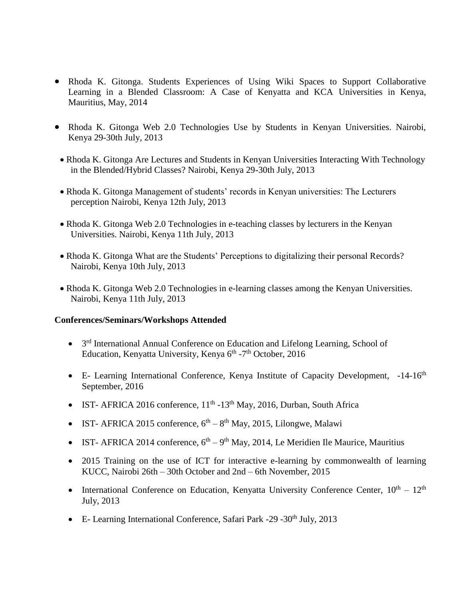- Rhoda K. Gitonga. Students Experiences of Using Wiki Spaces to Support Collaborative Learning in a Blended Classroom: A Case of Kenyatta and KCA Universities in Kenya, Mauritius, May, 2014
- Rhoda K. Gitonga Web 2.0 Technologies Use by Students in Kenyan Universities. Nairobi, Kenya 29-30th July, 2013
	- Rhoda K. Gitonga Are Lectures and Students in Kenyan Universities Interacting With Technology in the Blended/Hybrid Classes? Nairobi, Kenya 29-30th July, 2013
	- Rhoda K. Gitonga Management of students' records in Kenyan universities: The Lecturers perception Nairobi, Kenya 12th July, 2013
	- Rhoda K. Gitonga Web 2.0 Technologies in e-teaching classes by lecturers in the Kenyan Universities. Nairobi, Kenya 11th July, 2013
	- Rhoda K. Gitonga What are the Students' Perceptions to digitalizing their personal Records? Nairobi, Kenya 10th July, 2013
	- Rhoda K. Gitonga Web 2.0 Technologies in e-learning classes among the Kenyan Universities. Nairobi, Kenya 11th July, 2013

#### **Conferences/Seminars/Workshops Attended**

- 3<sup>rd</sup> International Annual Conference on Education and Lifelong Learning, School of Education, Kenyatta University, Kenya 6<sup>th</sup> -7<sup>th</sup> October, 2016
- E- Learning International Conference, Kenya Institute of Capacity Development, -14-16<sup>th</sup> September, 2016
- IST- AFRICA 2016 conference,  $11<sup>th</sup>$ -13<sup>th</sup> May, 2016, Durban, South Africa
- IST- AFRICA 2015 conference,  $6^{th} 8^{th}$  May, 2015, Lilongwe, Malawi
- IST- AFRICA 2014 conference,  $6<sup>th</sup> 9<sup>th</sup>$  May, 2014, Le Meridien Ile Maurice, Mauritius
- 2015 Training on the use of ICT for interactive e-learning by commonwealth of learning KUCC, Nairobi 26th – 30th October and 2nd – 6th November, 2015
- International Conference on Education, Kenyatta University Conference Center,  $10^{th} 12^{th}$ July, 2013
- E- Learning International Conference, Safari Park -29 -30<sup>th</sup> July, 2013